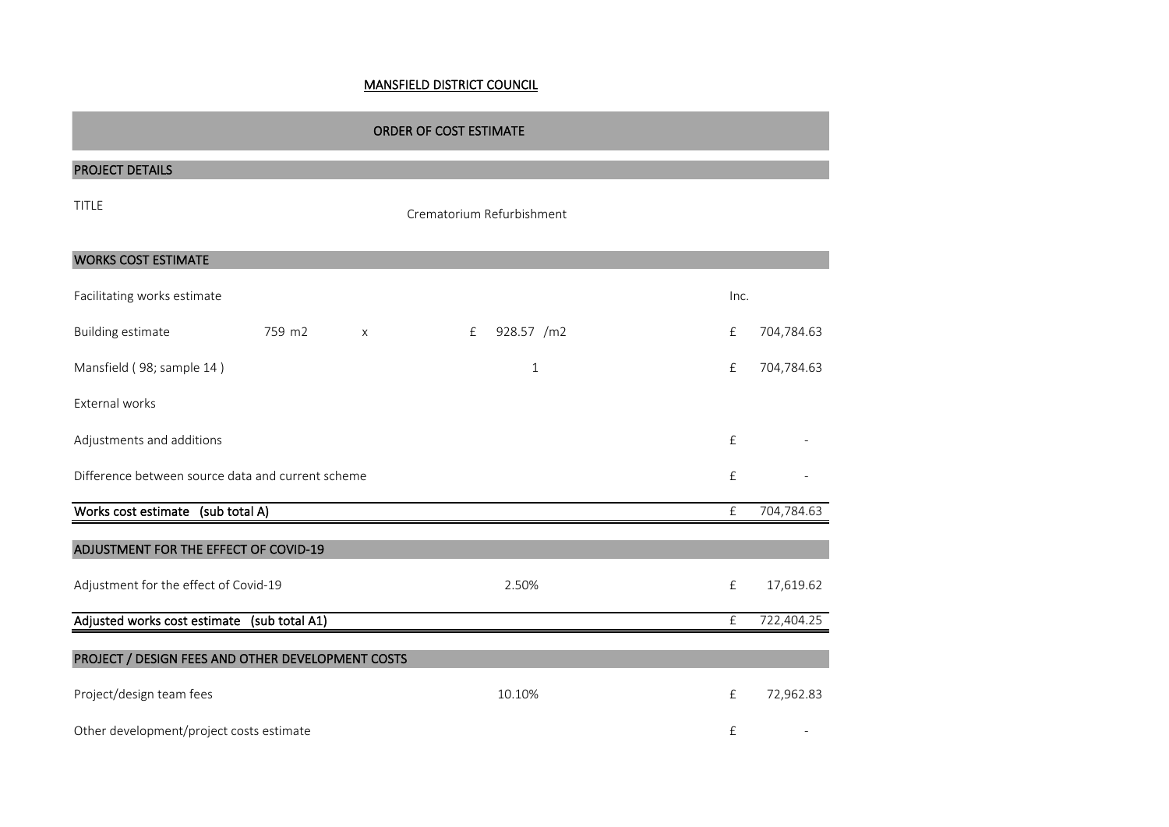## MANSFIELD DISTRICT COUNCIL

| <b>ORDER OF COST ESTIMATE</b>                     |        |                           |                           |      |            |  |  |
|---------------------------------------------------|--------|---------------------------|---------------------------|------|------------|--|--|
| <b>PROJECT DETAILS</b>                            |        |                           |                           |      |            |  |  |
| <b>TITLE</b>                                      |        |                           | Crematorium Refurbishment |      |            |  |  |
| <b>WORKS COST ESTIMATE</b>                        |        |                           |                           |      |            |  |  |
| Facilitating works estimate                       |        |                           |                           | Inc. |            |  |  |
| <b>Building estimate</b>                          | 759 m2 | $\boldsymbol{\mathsf{X}}$ | 928.57 /m2<br>f           | £    | 704,784.63 |  |  |
| Mansfield (98; sample 14)                         |        |                           | $\mathbf 1$               | £    | 704,784.63 |  |  |
| External works                                    |        |                           |                           |      |            |  |  |
| Adjustments and additions                         |        |                           |                           | £    |            |  |  |
| Difference between source data and current scheme |        |                           |                           |      |            |  |  |
| Works cost estimate (sub total A)                 |        |                           |                           | £    | 704,784.63 |  |  |
| ADJUSTMENT FOR THE EFFECT OF COVID-19             |        |                           |                           |      |            |  |  |
| Adjustment for the effect of Covid-19             |        |                           | 2.50%                     | £    | 17,619.62  |  |  |
| Adjusted works cost estimate (sub total A1)       |        |                           |                           | £    | 722,404.25 |  |  |
| PROJECT / DESIGN FEES AND OTHER DEVELOPMENT COSTS |        |                           |                           |      |            |  |  |
| Project/design team fees                          |        |                           | 10.10%                    | £    | 72,962.83  |  |  |
| Other development/project costs estimate          |        |                           |                           | £    |            |  |  |